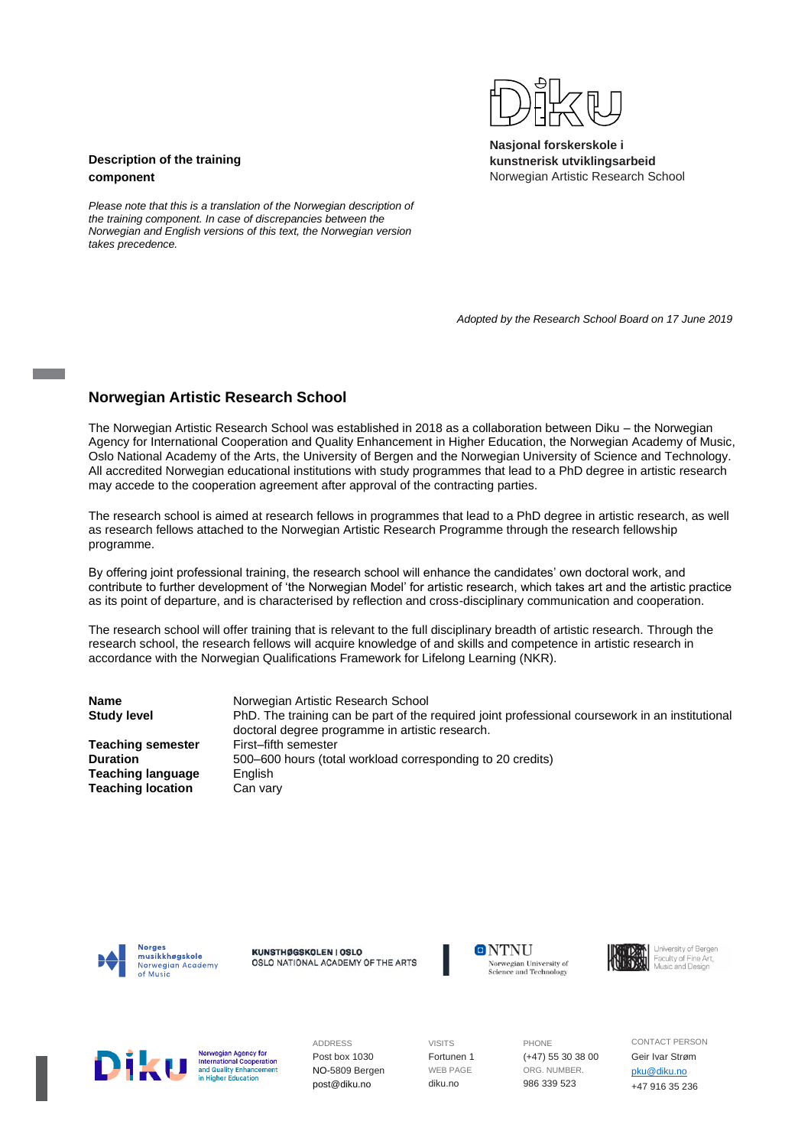

**Nasjonal forskerskole i kunstnerisk utviklingsarbeid** Norwegian Artistic Research School

# **Description of the training component**

*Please note that this is a translation of the Norwegian description of the training component. In case of discrepancies between the Norwegian and English versions of this text, the Norwegian version takes precedence.*

 *Adopted by the Research School Board on 17 June 2019*

# **Norwegian Artistic Research School**

The Norwegian Artistic Research School was established in 2018 as a collaboration between Diku – the Norwegian Agency for International Cooperation and Quality Enhancement in Higher Education, the Norwegian Academy of Music, Oslo National Academy of the Arts, the University of Bergen and the Norwegian University of Science and Technology. All accredited Norwegian educational institutions with study programmes that lead to a PhD degree in artistic research may accede to the cooperation agreement after approval of the contracting parties.

The research school is aimed at research fellows in programmes that lead to a PhD degree in artistic research, as well as research fellows attached to the Norwegian Artistic Research Programme through the research fellowship programme.

By offering joint professional training, the research school will enhance the candidates' own doctoral work, and contribute to further development of 'the Norwegian Model' for artistic research, which takes art and the artistic practice as its point of departure, and is characterised by reflection and cross-disciplinary communication and cooperation.

The research school will offer training that is relevant to the full disciplinary breadth of artistic research. Through the research school, the research fellows will acquire knowledge of and skills and competence in artistic research in accordance with the Norwegian Qualifications Framework for Lifelong Learning (NKR).

**Name** Norwegian Artistic Research School **Study level** PhD. The training can be part of the required joint professional coursework in an institutional doctoral degree programme in artistic research. **Teaching semester** First–fifth semester **Duration** 500–600 hours (total workload corresponding to 20 credits) **Teaching language** English **Teaching location** Can vary



KUNSTHØGSKOLEN I OSLO OSLO NATIONAL ACADEMY OF THE ARTS **ONTNU** Norwegian University of Science and Technology



Norwegian Agency for **International Cooperation**<br>and Quality Enhancement

ADDRESS Post box 1030 NO-5809 Bergen post@diku.no

VISITS Fortunen 1 WEB PAGE diku.no

PHONE (+47) 55 30 38 00 ORG. NUMBER. 986 339 523

CONTACT PERSON Geir Ivar Strøm [pku@diku.no](mailto:pku@diku.no) +47 916 35 236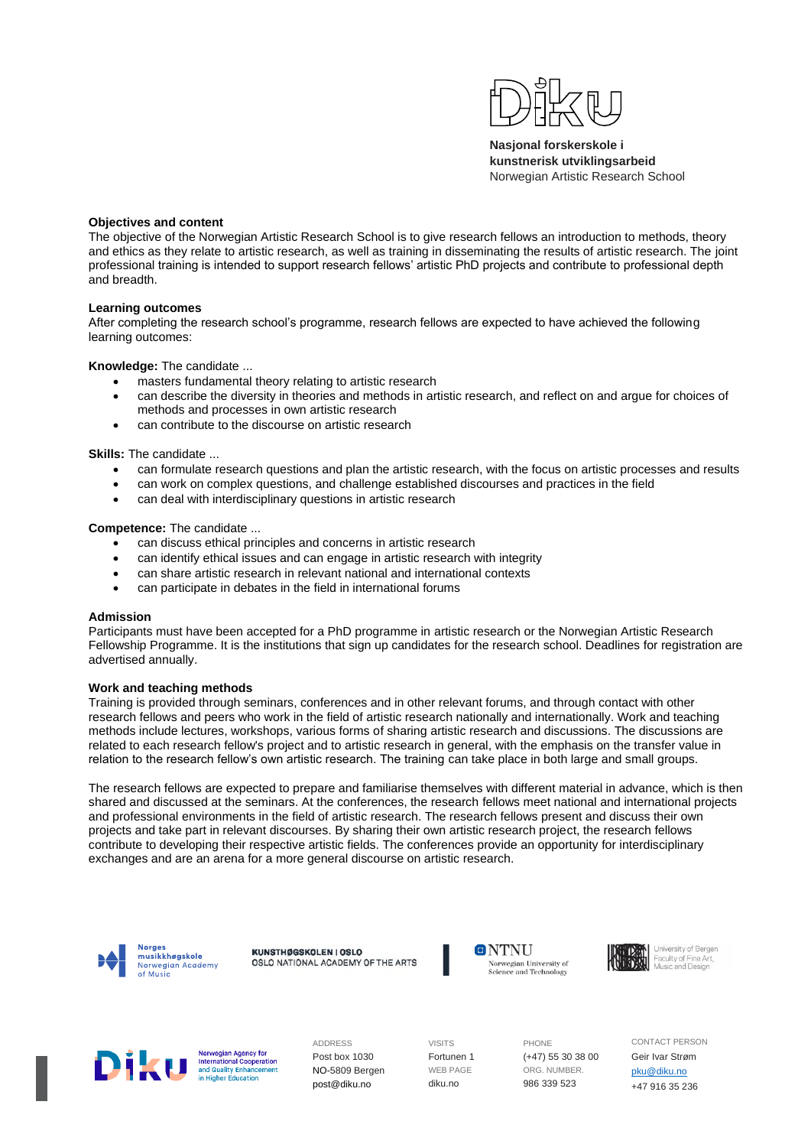

**Nasjonal forskerskole i kunstnerisk utviklingsarbeid** Norwegian Artistic Research School

#### **Objectives and content**

The objective of the Norwegian Artistic Research School is to give research fellows an introduction to methods, theory and ethics as they relate to artistic research, as well as training in disseminating the results of artistic research. The joint professional training is intended to support research fellows' artistic PhD projects and contribute to professional depth and breadth.

#### **Learning outcomes**

After completing the research school's programme, research fellows are expected to have achieved the following learning outcomes:

#### **Knowledge:** The candidate ...

- masters fundamental theory relating to artistic research
- can describe the diversity in theories and methods in artistic research, and reflect on and argue for choices of methods and processes in own artistic research
- can contribute to the discourse on artistic research

**Skills:** The candidate ...

- can formulate research questions and plan the artistic research, with the focus on artistic processes and results
- can work on complex questions, and challenge established discourses and practices in the field
- can deal with interdisciplinary questions in artistic research

**Competence:** The candidate ...

- can discuss ethical principles and concerns in artistic research
- can identify ethical issues and can engage in artistic research with integrity
- can share artistic research in relevant national and international contexts
- can participate in debates in the field in international forums

#### **Admission**

Participants must have been accepted for a PhD programme in artistic research or the Norwegian Artistic Research Fellowship Programme. It is the institutions that sign up candidates for the research school. Deadlines for registration are advertised annually.

## **Work and teaching methods**

Training is provided through seminars, conferences and in other relevant forums, and through contact with other research fellows and peers who work in the field of artistic research nationally and internationally. Work and teaching methods include lectures, workshops, various forms of sharing artistic research and discussions. The discussions are related to each research fellow's project and to artistic research in general, with the emphasis on the transfer value in relation to the research fellow's own artistic research. The training can take place in both large and small groups.

The research fellows are expected to prepare and familiarise themselves with different material in advance, which is then shared and discussed at the seminars. At the conferences, the research fellows meet national and international projects and professional environments in the field of artistic research. The research fellows present and discuss their own projects and take part in relevant discourses. By sharing their own artistic research project, the research fellows contribute to developing their respective artistic fields. The conferences provide an opportunity for interdisciplinary exchanges and are an arena for a more general discourse on artistic research.



KUNSTHØGSKOLEN I OSLO OSLO NATIONAL ACADEMY OF THE ARTS







Norwegian Agency for **International Cooperation**<br>and Quality Enhancement ucation

ADDRESS Post box 1030 NO-5809 Bergen post@diku.no

VISITS Fortunen 1 WEB PAGE diku.no

PHONE (+47) 55 30 38 00 ORG. NUMBER. 986 339 523

CONTACT PERSON Geir Ivar Strøm [pku@diku.no](mailto:pku@diku.no) +47 916 35 236